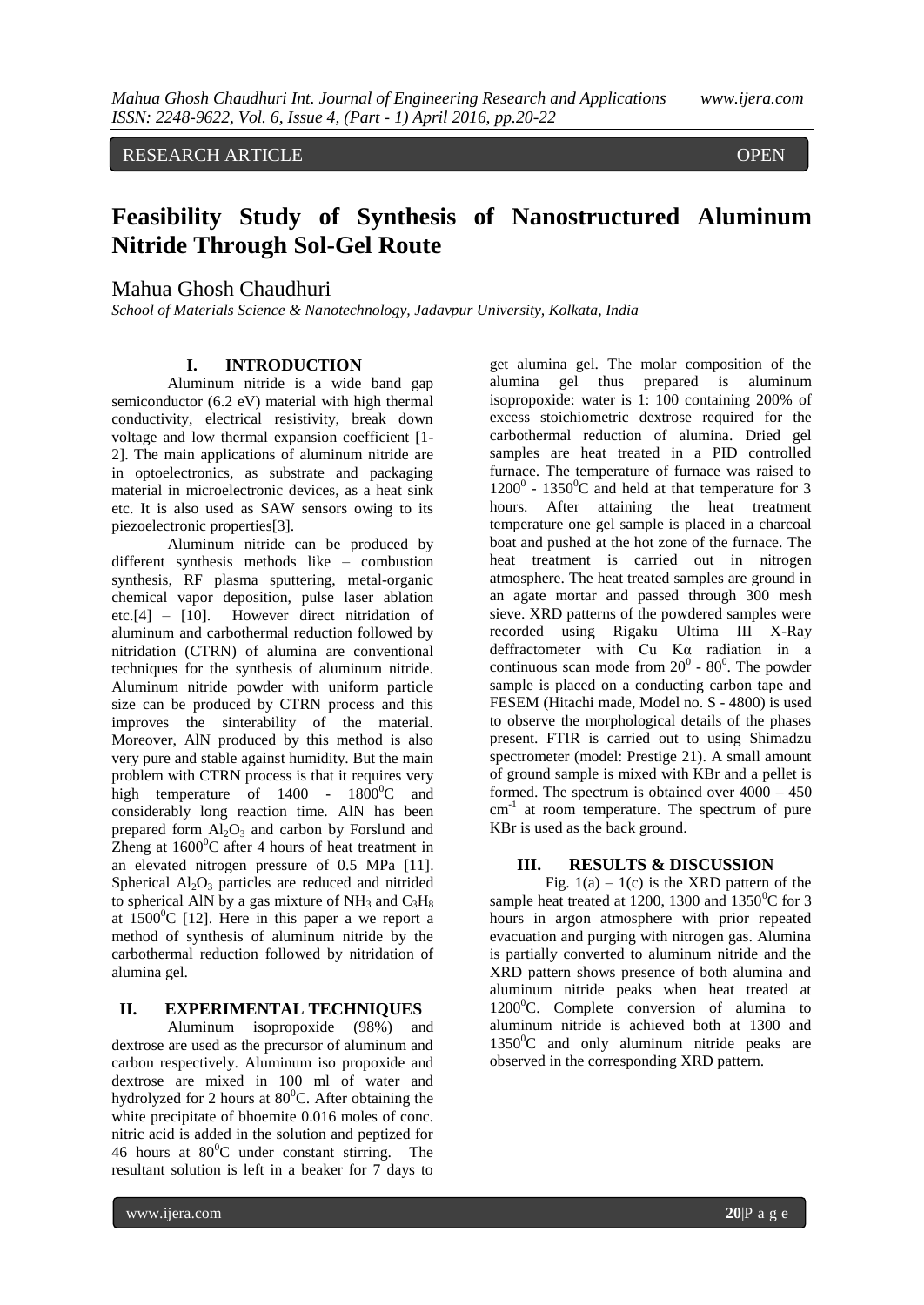# RESEARCH ARTICLE **CONTRACT OPEN**

ACCESS

# **Feasibility Study of Synthesis of Nanostructured Aluminum Nitride Through Sol-Gel Route**

# Mahua Ghosh Chaudhuri

*School of Materials Science & Nanotechnology, Jadavpur University, Kolkata, India*

## **I. INTRODUCTION**

Aluminum nitride is a wide band gap semiconductor (6.2 eV) material with high thermal conductivity, electrical resistivity, break down voltage and low thermal expansion coefficient [1- 2]. The main applications of aluminum nitride are in optoelectronics, as substrate and packaging material in microelectronic devices, as a heat sink etc. It is also used as SAW sensors owing to its piezoelectronic properties[3].

Aluminum nitride can be produced by different synthesis methods like – combustion synthesis, RF plasma sputtering, metal-organic chemical vapor deposition, pulse laser ablation etc.[4] – [10]. However direct nitridation of aluminum and carbothermal reduction followed by nitridation (CTRN) of alumina are conventional techniques for the synthesis of aluminum nitride. Aluminum nitride powder with uniform particle size can be produced by CTRN process and this improves the sinterability of the material. Moreover, AlN produced by this method is also very pure and stable against humidity. But the main problem with CTRN process is that it requires very high temperature of  $1400 - 1800^{\circ}$ C and considerably long reaction time. AlN has been prepared form  $Al_2O_3$  and carbon by Forslund and Zheng at  $1600^{\circ}$ C after 4 hours of heat treatment in an elevated nitrogen pressure of 0.5 MPa [11]. Spherical  $Al_2O_3$  particles are reduced and nitrided to spherical AlN by a gas mixture of  $NH_3$  and  $C_3H_8$ at  $1500^{\circ}$ C [12]. Here in this paper a we report a method of synthesis of aluminum nitride by the carbothermal reduction followed by nitridation of alumina gel.

#### **II. EXPERIMENTAL TECHNIQUES**

Aluminum isopropoxide (98%) and dextrose are used as the precursor of aluminum and carbon respectively. Aluminum iso propoxide and dextrose are mixed in 100 ml of water and hydrolyzed for 2 hours at  $80^{\circ}$ C. After obtaining the white precipitate of bhoemite 0.016 moles of conc. nitric acid is added in the solution and peptized for 46 hours at  $80^{\circ}$ C under constant stirring. The resultant solution is left in a beaker for 7 days to

get alumina gel. The molar composition of the alumina gel thus prepared is aluminum isopropoxide: water is 1: 100 containing 200% of excess stoichiometric dextrose required for the carbothermal reduction of alumina. Dried gel samples are heat treated in a PID controlled furnace. The temperature of furnace was raised to  $1200^0$  -  $1350^0$ C and held at that temperature for 3 hours. After attaining the heat treatment temperature one gel sample is placed in a charcoal boat and pushed at the hot zone of the furnace. The heat treatment is carried out in nitrogen atmosphere. The heat treated samples are ground in an agate mortar and passed through 300 mesh sieve. XRD patterns of the powdered samples were recorded using Rigaku Ultima III X-Ray deffractometer with Cu Kα radiation in a continuous scan mode from  $20^0$  -  $80^0$ . The powder sample is placed on a conducting carbon tape and FESEM (Hitachi made, Model no. S - 4800) is used to observe the morphological details of the phases present. FTIR is carried out to using Shimadzu spectrometer (model: Prestige 21). A small amount of ground sample is mixed with KBr and a pellet is formed. The spectrum is obtained over  $4000 - 450$ cm<sup>-1</sup> at room temperature. The spectrum of pure KBr is used as the back ground.

#### **III. RESULTS & DISCUSSION**

Fig.  $1(a) - 1(c)$  is the XRD pattern of the sample heat treated at 1200, 1300 and 1350<sup>°</sup>C for 3 hours in argon atmosphere with prior repeated evacuation and purging with nitrogen gas. Alumina is partially converted to aluminum nitride and the XRD pattern shows presence of both alumina and aluminum nitride peaks when heat treated at  $1200^0C$ . Complete conversion of alumina to aluminum nitride is achieved both at 1300 and  $1350^{\circ}$ C and only aluminum nitride peaks are observed in the corresponding XRD pattern.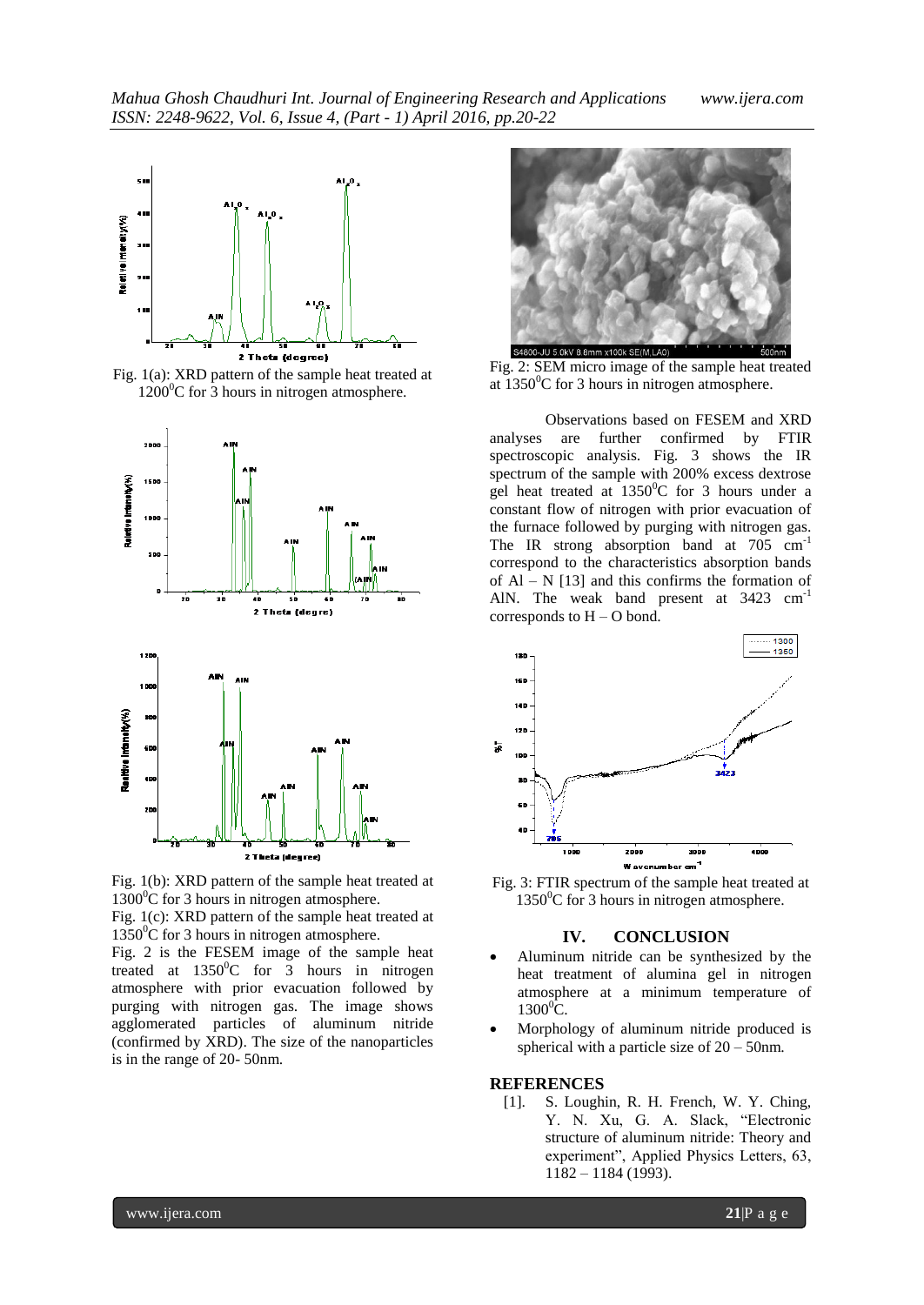

Fig. 1(a): XRD pattern of the sample heat treated at  $1200^0C$  for 3 hours in nitrogen atmosphere.





Fig. 1(c): XRD pattern of the sample heat treated at 1350<sup>°</sup>C for 3 hours in nitrogen atmosphere.

Fig. 2 is the FESEM image of the sample heat treated at  $1350^{\circ}$ C for 3 hours in nitrogen atmosphere with prior evacuation followed by purging with nitrogen gas. The image shows agglomerated particles of aluminum nitride (confirmed by XRD). The size of the nanoparticles is in the range of 20- 50nm.



Fig. 2: SEM micro image of the sample heat treated at  $1350^0$ C for 3 hours in nitrogen atmosphere.

Observations based on FESEM and XRD analyses are further confirmed by FTIR spectroscopic analysis. Fig. 3 shows the IR spectrum of the sample with 200% excess dextrose gel heat treated at  $1350^{\circ}$ C for 3 hours under a constant flow of nitrogen with prior evacuation of the furnace followed by purging with nitrogen gas. The IR strong absorption band at 705 cm<sup>-1</sup> correspond to the characteristics absorption bands of  $Al - N$  [13] and this confirms the formation of AlN. The weak band present at 3423 cm<sup>-1</sup> corresponds to  $H - O$  bond.



Fig. 3: FTIR spectrum of the sample heat treated at  $1350^0C$  for 3 hours in nitrogen atmosphere.

### **IV. CONCLUSION**

- Aluminum nitride can be synthesized by the heat treatment of alumina gel in nitrogen atmosphere at a minimum temperature of  $1300^0C$ .
- Morphology of aluminum nitride produced is spherical with a particle size of  $20 - 50$ nm.

#### **REFERENCES**

[1]. S. Loughin, R. H. French, W. Y. Ching, Y. N. Xu, G. A. Slack, "Electronic structure of aluminum nitride: Theory and experiment", Applied Physics Letters, 63,  $1182 - 1184$  (1993).